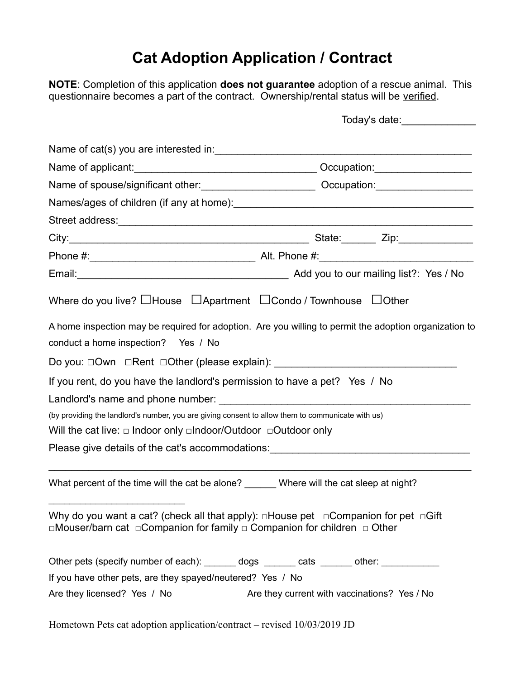## **Cat Adoption Application / Contract**

**NOTE**: Completion of this application **does not guarantee** adoption of a rescue animal. This questionnaire becomes a part of the contract. Ownership/rental status will be verified.

|                                                                                                                                                                                                       | Today's date: _______________                                                                          |  |
|-------------------------------------------------------------------------------------------------------------------------------------------------------------------------------------------------------|--------------------------------------------------------------------------------------------------------|--|
|                                                                                                                                                                                                       |                                                                                                        |  |
|                                                                                                                                                                                                       |                                                                                                        |  |
|                                                                                                                                                                                                       | Name of spouse/significant other: ________________________________ Occupation: _____________________   |  |
|                                                                                                                                                                                                       |                                                                                                        |  |
|                                                                                                                                                                                                       |                                                                                                        |  |
|                                                                                                                                                                                                       |                                                                                                        |  |
|                                                                                                                                                                                                       |                                                                                                        |  |
|                                                                                                                                                                                                       |                                                                                                        |  |
| Where do you live? $\Box$ House $\Box$ Apartment $\Box$ Condo / Townhouse $\Box$ Other                                                                                                                |                                                                                                        |  |
| conduct a home inspection? Yes / No                                                                                                                                                                   | A home inspection may be required for adoption. Are you willing to permit the adoption organization to |  |
| Do you: □Own □Rent □Other (please explain): ___________________________________                                                                                                                       |                                                                                                        |  |
| If you rent, do you have the landlord's permission to have a pet? Yes / No                                                                                                                            |                                                                                                        |  |
|                                                                                                                                                                                                       |                                                                                                        |  |
| (by providing the landlord's number, you are giving consent to allow them to communicate with us)<br>Will the cat live: $\Box$ Indoor only $\Box$ Indoor/Outdoor $\Box$ Outdoor only                  |                                                                                                        |  |
| Please give details of the cat's accommodations: Please give details of the cat's accommodations:                                                                                                     |                                                                                                        |  |
| What percent of the time will the cat be alone? _______ Where will the cat sleep at night?                                                                                                            |                                                                                                        |  |
| Why do you want a cat? (check all that apply): $\Box$ House pet $\Box$ Companion for pet $\Box$ Gift<br>$\Box$ Mouser/barn cat $\Box$ Companion for family $\Box$ Companion for children $\Box$ Other |                                                                                                        |  |
| Other pets (specify number of each): ______ dogs ______ cats ______ other: ___________                                                                                                                |                                                                                                        |  |
| If you have other pets, are they spayed/neutered? Yes / No                                                                                                                                            |                                                                                                        |  |
| Are they licensed? Yes / No                                                                                                                                                                           | Are they current with vaccinations? Yes / No                                                           |  |

Hometown Pets cat adoption application/contract – revised 10/03/2019 JD